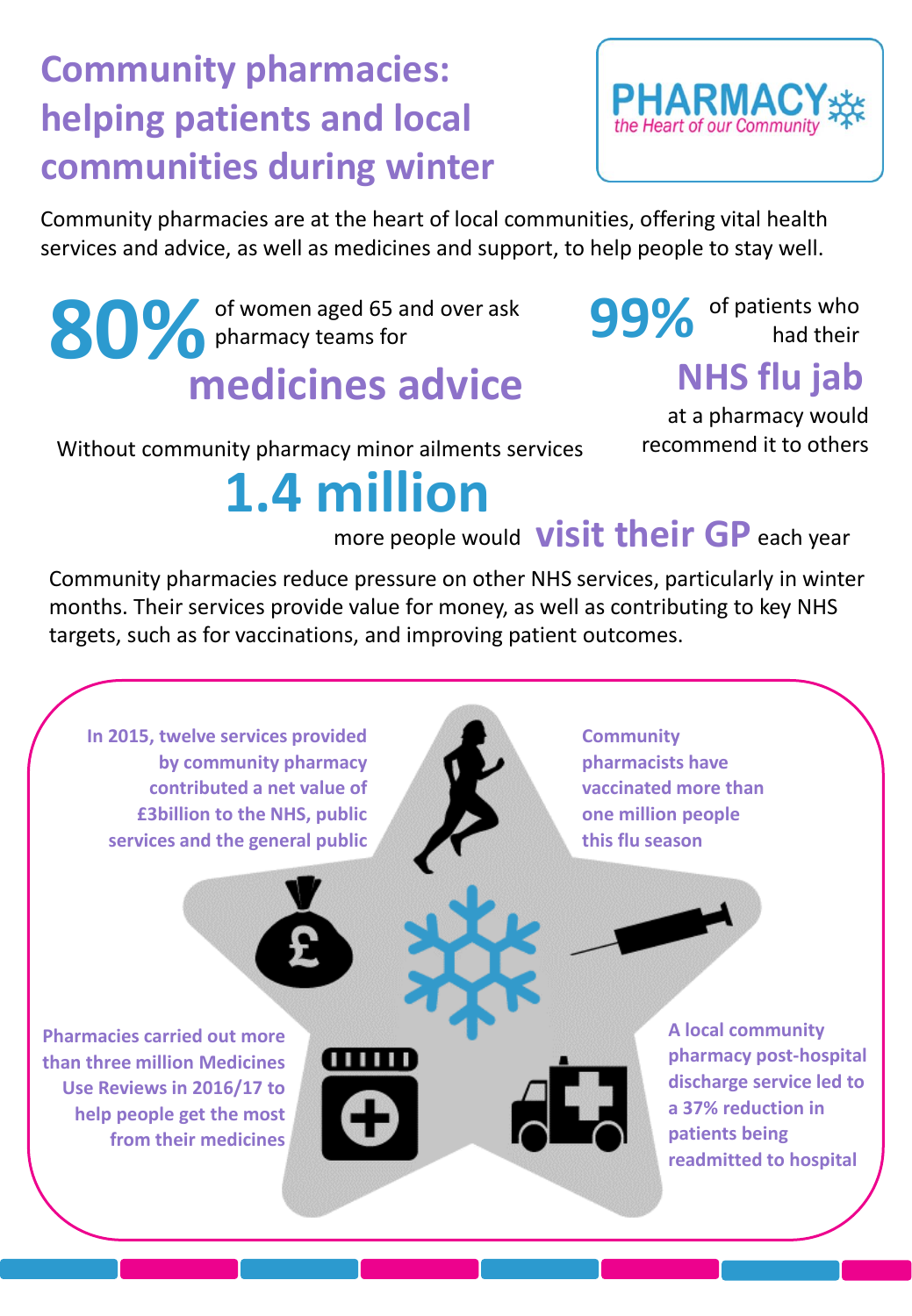## **Community pharmacies: helping patients and local communities during winter**



Community pharmacies are at the heart of local communities, offering vital health services and advice, as well as medicines and support, to help people to stay well.

**80%** of women aged 65 and over ask pharmacy teams for **medicines advice**

**99%** of patients who

### **NHS flu jab**

Without community pharmacy minor ailments services

at a pharmacy would recommend it to others

# **1.4 million**

more people would **visit their GP** each year

Community pharmacies reduce pressure on other NHS services, particularly in winter months. Their services provide value for money, as well as contributing to key NHS targets, such as for vaccinations, and improving patient outcomes.